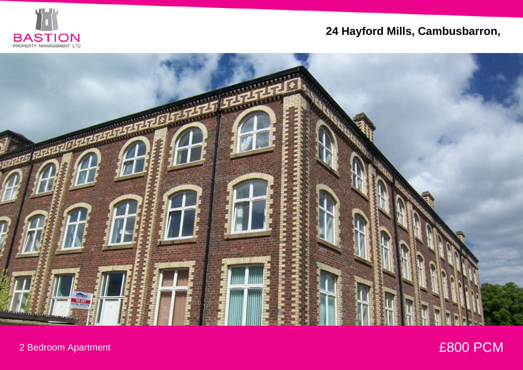

# **24 Hayford Mills, Cambusbarron,**



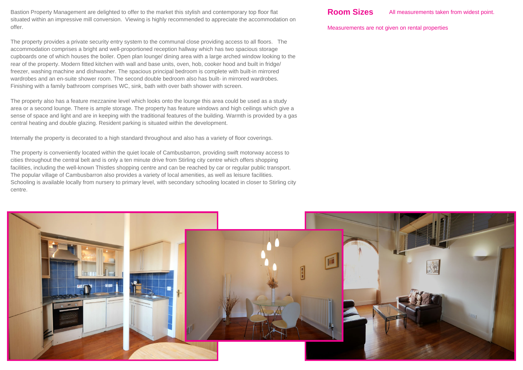Bastion Property Management are delighted to offer to the market this stylish and contemporary top floor flat situated within an impressive mill conversion. Viewing is highly recommended to appreciate the accommodation on offer.

The property provides a private security entry system to the communal close providing access to all floors. The accommodation comprises a bright and well-proportioned reception hallway which has two spacious storage cupboards one of which houses the boiler. Open plan lounge/ dining area with a large arched window looking to the rear of the property. Modern fitted kitchen with wall and base units, oven, hob, cooker hood and built in fridge/ freezer, washing machine and dishwasher. The spacious principal bedroom is complete with built-in mirrored wardrobes and an en-suite shower room. The second double bedroom also has built- in mirrored wardrobes. Finishing with a family bathroom comprises WC, sink, bath with over bath shower with screen.

The property also has a feature mezzanine level which looks onto the lounge this area could be used as a study area or a second lounge. There is ample storage. The property has feature windows and high ceilings which give a sense of space and light and are in keeping with the traditional features of the building. Warmth is provided by a gas central heating and double glazing. Resident parking is situated within the development.

Internally the property is decorated to a high standard throughout and also has a variety of floor coverings.

The property is conveniently located within the quiet locale of Cambusbarron, providing swift motorway access to cities throughout the central belt and is only a ten minute drive from Stirling city centre which offers shopping facilities, including the well-known Thistles shopping centre and can be reached by car or regular public transport. The popular village of Cambusbarron also provides a variety of local amenities, as well as leisure facilities. Schooling is available locally from nursery to primary level, with secondary schooling located in closer to Stirling city centre.

Measurements are not given on rental properties